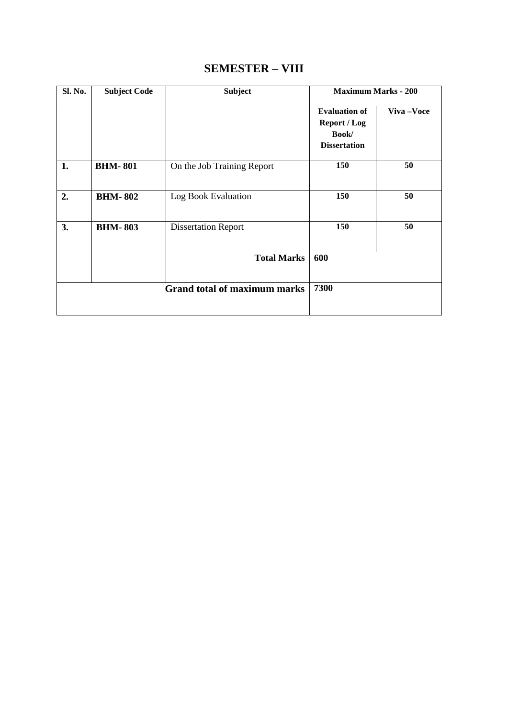## **SEMESTER – VIII**

| Sl. No.                             | <b>Subject Code</b> | <b>Subject</b>             | <b>Maximum Marks - 200</b>                                           |           |
|-------------------------------------|---------------------|----------------------------|----------------------------------------------------------------------|-----------|
|                                     |                     |                            | <b>Evaluation of</b><br>Report / Log<br>Book/<br><b>Dissertation</b> | Viva-Voce |
| 1.                                  | <b>BHM-801</b>      | On the Job Training Report | 150                                                                  | 50        |
| 2.                                  | <b>BHM-802</b>      | Log Book Evaluation        | 150                                                                  | 50        |
| 3.                                  | <b>BHM-803</b>      | <b>Dissertation Report</b> | 150                                                                  | 50        |
|                                     |                     | <b>Total Marks</b>         | 600                                                                  |           |
| <b>Grand total of maximum marks</b> |                     | 7300                       |                                                                      |           |